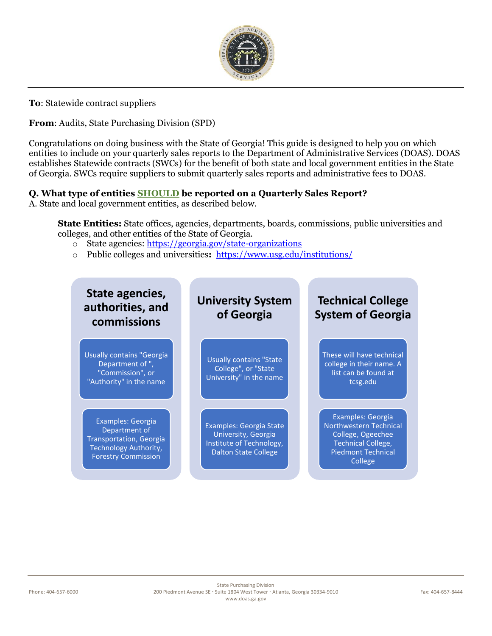

**To**: Statewide contract suppliers

**From**: Audits, State Purchasing Division (SPD)

Congratulations on doing business with the State of Georgia! This guide is designed to help you on which entities to include on your quarterly sales reports to the Department of Administrative Services (DOAS). DOAS establishes Statewide contracts (SWCs) for the benefit of both state and local government entities in the State of Georgia. SWCs require suppliers to submit quarterly sales reports and administrative fees to DOAS.

### **Q. What type of entities SHOULD be reported on a Quarterly Sales Report?**

A. State and local government entities, as described below.

**State Entities:** State offices, agencies, departments, boards, commissions, public universities and colleges, and other entities of the State of Georgia.

- o State agencies:<https://georgia.gov/state-organizations>
- o Public colleges and universities**:** <https://www.usg.edu/institutions/>

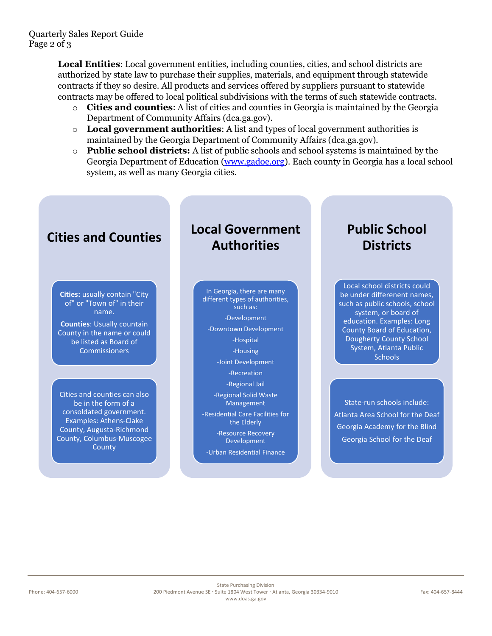**Local Entities**: Local government entities, including counties, cities, and school districts are authorized by state law to purchase their supplies, materials, and equipment through statewide contracts if they so desire. All products and services offered by suppliers pursuant to statewide contracts may be offered to local political subdivisions with the terms of such statewide contracts.

- o **Cities and counties**: A list of cities and counties in Georgia is maintained by the Georgia Department of Community Affairs (dca.ga.gov).
- o **Local government authorities**: A list and types of local government authorities is maintained by the Georgia Department of Community Affairs (dca.ga.gov).
- o **Public school districts:** A list of public schools and school systems is maintained by the Georgia Department of Education [\(www.gadoe.org\)](http://www.gadoe.org/). Each county in Georgia has a local school system, as well as many Georgia cities.

## **Cities and Counties**

**Cities:** usually contain "City of" or "Town of" in their name.

**Counties**: Usually countain County in the name or could be listed as Board of **Commissioners** 

Cities and counties can also be in the form of a consoldated government. Examples: Athens-Clake County, Augusta-Richmond County, Columbus-Muscogee **County** 

# **Local Government Authorities**

In Georgia, there are many different types of authorities, such as: -Development -Downtown Development -Hospital -Housing -Joint Development -Recreation -Regional Jail -Regional Solid Waste Management -Residential Care Facilities for the Elderly -Resource Recovery Development

-Urban Residential Finance

# **Public School Districts**

Local school districts could be under differenent names, such as public schools, school system, or board of education. Examples: Long County Board of Education, Dougherty County School System, Atlanta Public **Schools** 

State-run schools include: Atlanta Area School for the Deaf Georgia Academy for the Blind Georgia School for the Deaf